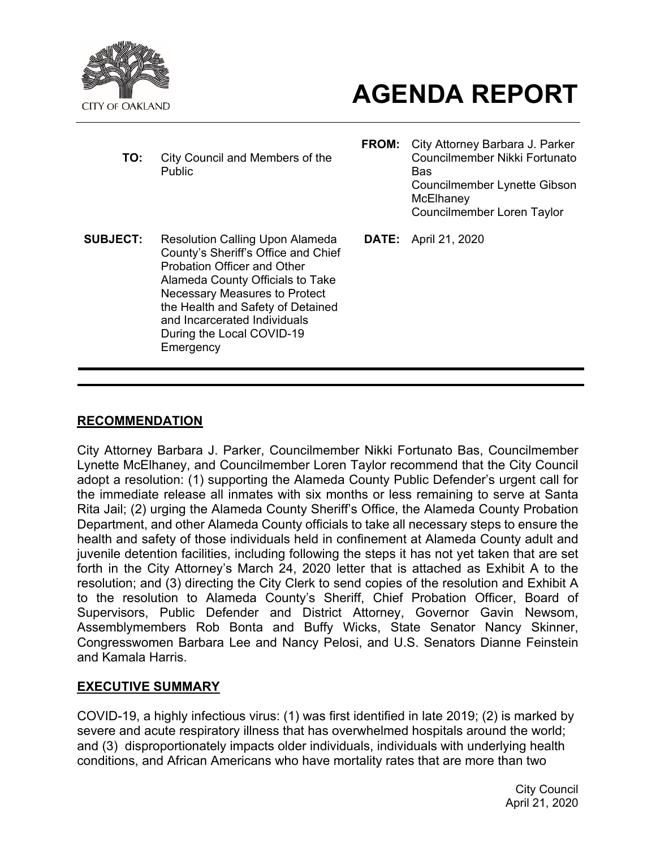

# **AGENDA REPORT**

- **TO:** City Council and Members of the Public
- **FROM:** City Attorney Barbara J. Parker Councilmember Nikki Fortunato Bas Councilmember Lynette Gibson **McElhanev** Councilmember Loren Taylor
- **SUBJECT:** Resolution Calling Upon Alameda County's Sheriff's Office and Chief Probation Officer and Other Alameda County Officials to Take Necessary Measures to Protect the Health and Safety of Detained and Incarcerated Individuals During the Local COVID-19 **Emergency**
- **DATE:** April 21, 2020

#### **RECOMMENDATION**

City Attorney Barbara J. Parker, Councilmember Nikki Fortunato Bas, Councilmember Lynette McElhaney, and Councilmember Loren Taylor recommend that the City Council adopt a resolution: (1) supporting the Alameda County Public Defender's urgent call for the immediate release all inmates with six months or less remaining to serve at Santa Rita Jail; (2) urging the Alameda County Sheriff's Office, the Alameda County Probation Department, and other Alameda County officials to take all necessary steps to ensure the health and safety of those individuals held in confinement at Alameda County adult and juvenile detention facilities, including following the steps it has not yet taken that are set forth in the City Attorney's March 24, 2020 letter that is attached as Exhibit A to the resolution; and (3) directing the City Clerk to send copies of the resolution and Exhibit A to the resolution to Alameda County's Sheriff, Chief Probation Officer, Board of Supervisors, Public Defender and District Attorney, Governor Gavin Newsom, Assemblymembers Rob Bonta and Buffy Wicks, State Senator Nancy Skinner, Congresswomen Barbara Lee and Nancy Pelosi, and U.S. Senators Dianne Feinstein and Kamala Harris.

#### **EXECUTIVE SUMMARY**

COVID-19, a highly infectious virus: (1) was first identified in late 2019; (2) is marked by severe and acute respiratory illness that has overwhelmed hospitals around the world; and (3) disproportionately impacts older individuals, individuals with underlying health conditions, and African Americans who have mortality rates that are more than two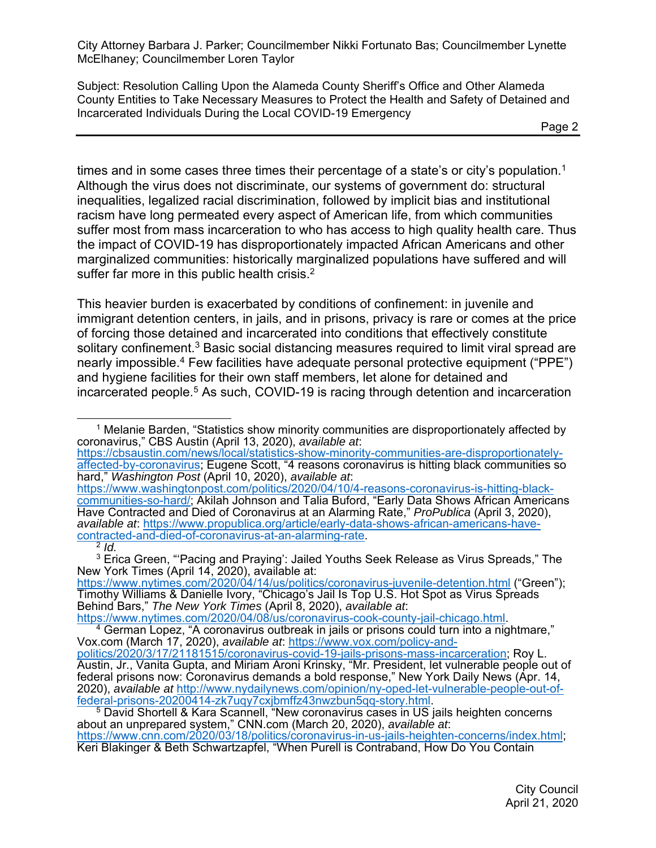Subject: Resolution Calling Upon the Alameda County Sheriff's Office and Other Alameda County Entities to Take Necessary Measures to Protect the Health and Safety of Detained and Incarcerated Individuals During the Local COVID-19 Emergency

times and in some cases three times their percentage of a state's or city's population.<sup>1</sup> Although the virus does not discriminate, our systems of government do: structural inequalities, legalized racial discrimination, followed by implicit bias and institutional racism have long permeated every aspect of American life, from which communities suffer most from mass incarceration to who has access to high quality health care. Thus the impact of COVID-19 has disproportionately impacted African Americans and other marginalized communities: historically marginalized populations have suffered and will suffer far more in this public health crisis.<sup>2</sup>

This heavier burden is exacerbated by conditions of confinement: in juvenile and immigrant detention centers, in jails, and in prisons, privacy is rare or comes at the price of forcing those detained and incarcerated into conditions that effectively constitute solitary confinement.<sup>3</sup> Basic social distancing measures required to limit viral spread are nearly impossible.4 Few facilities have adequate personal protective equipment ("PPE") and hygiene facilities for their own staff members, let alone for detained and incarcerated people.5 As such, COVID-19 is racing through detention and incarceration

<sup>1</sup> Melanie Barden, "Statistics show minority communities are disproportionately affected by coronavirus," CBS Austin (April 13, 2020), *available at*: https://cbsaustin.com/news/local/statistics-show-minority-communities-are-disproportionatelyaffected-by-coronavirus; Eugene Scott, "4 reasons coronavirus is hitting black communities so hard," *Washington Post* (April 10, 2020), *available at*: https://www.washingtonpost.com/politics/2020/04/10/4-reasons-coronavirus-is-hitting-blackcommunities-so-hard/; Akilah Johnson and Talia Buford, "Early Data Shows African Americans Have Contracted and Died of Coronavirus at an Alarming Rate," *ProPublica* (April 3, 2020), *available at*: https://www.propublica.org/article/early-data-shows-african-americans-havecontracted-and-died-of-coronavirus-at-an-alarming-rate. <sup>2</sup> *Id.*

 $3$  Erica Green, "'Pacing and Praying': Jailed Youths Seek Release as Virus Spreads," The New York Times (April 14, 2020), available at:

https://www.nytimes.com/2020/04/14/us/politics/coronavirus-juvenile-detention.html ("Green"); Timothy Williams & Danielle Ivory, "Chicago's Jail Is Top U.S. Hot Spot as Virus Spreads Behind Bars," *The New York Times* (April 8, 2020), *available at*:

<sup>&</sup>lt;sup>4</sup> German Lopez, "A coronavirus outbreak in jails or prisons could turn into a nightmare," Vox.com (March 17, 2020), *available at*: https://www.vox.com/policy-andpolitics/2020/3/17/21181515/coronavirus-covid-19-jails-prisons-mass-incarceration; Roy L. Austin, Jr., Vanita Gupta, and Miriam Aroni Krinsky, "Mr. President, let vulnerable people out of federal prisons now: Coronavirus demands a bold response," New York Daily News (Apr. 14, 2020), *available at* http://www.nydailynews.com/opinion/ny-oped-let-vulnerable-people-out-of-

federal-prisons-20200414-zk7uqy7cxjbmffz43nwzbun5qq-story.html. 5 David Shortell & Kara Scannell, "New coronavirus cases in US jails heighten concerns about an unprepared system," CNN.com (March 20, 2020), *available at*: https://www.cnn.com/2020/03/18/politics/coronavirus-in-us-jails-heighten-concerns/index.html; Keri Blakinger & Beth Schwartzapfel, "When Purell is Contraband, How Do You Contain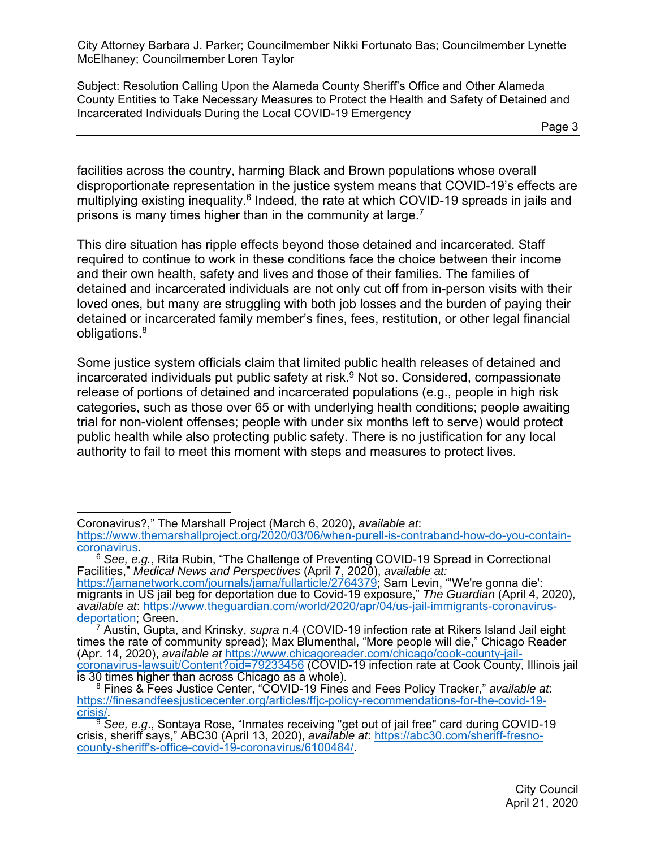Subject: Resolution Calling Upon the Alameda County Sheriff's Office and Other Alameda County Entities to Take Necessary Measures to Protect the Health and Safety of Detained and Incarcerated Individuals During the Local COVID-19 Emergency

Page 3

facilities across the country, harming Black and Brown populations whose overall disproportionate representation in the justice system means that COVID-19's effects are multiplying existing inequality.<sup>6</sup> Indeed, the rate at which COVID-19 spreads in jails and prisons is many times higher than in the community at large.<sup>7</sup>

This dire situation has ripple effects beyond those detained and incarcerated. Staff required to continue to work in these conditions face the choice between their income and their own health, safety and lives and those of their families. The families of detained and incarcerated individuals are not only cut off from in-person visits with their loved ones, but many are struggling with both job losses and the burden of paying their detained or incarcerated family member's fines, fees, restitution, or other legal financial obligations.8

Some justice system officials claim that limited public health releases of detained and incarcerated individuals put public safety at risk.<sup>9</sup> Not so. Considered, compassionate release of portions of detained and incarcerated populations (e.g., people in high risk categories, such as those over 65 or with underlying health conditions; people awaiting trial for non-violent offenses; people with under six months left to serve) would protect public health while also protecting public safety. There is no justification for any local authority to fail to meet this moment with steps and measures to protect lives.

 $\overline{a}$ Coronavirus?," The Marshall Project (March 6, 2020), *available at*:

https://www.themarshallproject.org/2020/03/06/when-purell-is-contraband-how-do-you-containcoronavirus. 6 *See, e.g.*, Rita Rubin, "The Challenge of Preventing COVID-19 Spread in Correctional

Facilities," *Medical News and Perspectives* (April 7, 2020), *available at:*

https://jamanetwork.com/journals/jama/fullarticle/2764379; Sam Levin, "'We're gonna die': migrants in US jail beg for deportation due to Covid-19 exposure," *The Guardian* (April 4, 2020), *available at*: https://www.theguardian.com/world/2020/apr/04/us-jail-immigrants-coronavirusdeportation; Green.

<sup>7</sup> Austin, Gupta, and Krinsky, *supra* n.4 (COVID-19 infection rate at Rikers Island Jail eight times the rate of community spread); Max Blumenthal, "More people will die," Chicago Reader (Apr. 14, 2020), *available at* https://www.chicagoreader.com/chicago/cook-county-jailcoronavirus-lawsuit/Content?oid=79233456 (COVID-19 infection rate at Cook County, Illinois jail is 30 times higher than across Chicago as a whole).

<sup>8</sup> Fines & Fees Justice Center, "COVID-19 Fines and Fees Policy Tracker," *available at*: https://finesandfeesjusticecenter.org/articles/ffjc-policy-recommendations-for-the-covid-19-

crisis/. 9 *See, e.g*., Sontaya Rose, "Inmates receiving "get out of jail free" card during COVID-19 crisis, sheriff says," ABC30 (April 13, 2020), *available at*: https://abc30.com/sheriff-fresnocounty-sheriff's-office-covid-19-coronavirus/6100484/.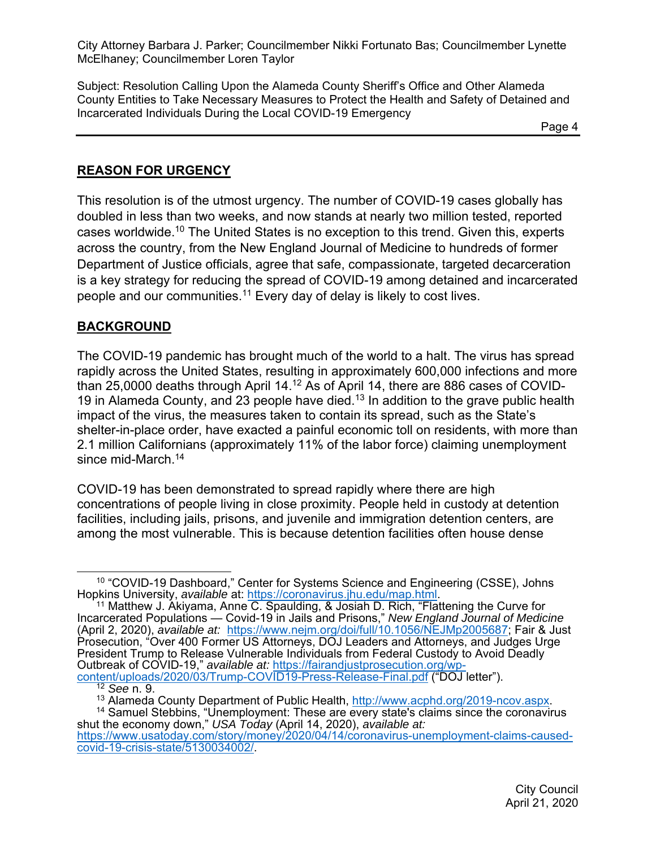Subject: Resolution Calling Upon the Alameda County Sheriff's Office and Other Alameda County Entities to Take Necessary Measures to Protect the Health and Safety of Detained and Incarcerated Individuals During the Local COVID-19 Emergency

en de la provincia de la provincia de la provincia de la provincia de la provincia de la provincia de la provi

#### **REASON FOR URGENCY**

This resolution is of the utmost urgency. The number of COVID-19 cases globally has doubled in less than two weeks, and now stands at nearly two million tested, reported cases worldwide.10 The United States is no exception to this trend. Given this, experts across the country, from the New England Journal of Medicine to hundreds of former Department of Justice officials, agree that safe, compassionate, targeted decarceration is a key strategy for reducing the spread of COVID-19 among detained and incarcerated people and our communities.<sup>11</sup> Every day of delay is likely to cost lives.

#### **BACKGROUND**

The COVID-19 pandemic has brought much of the world to a halt. The virus has spread rapidly across the United States, resulting in approximately 600,000 infections and more than 25,0000 deaths through April 14.12 As of April 14, there are 886 cases of COVID-19 in Alameda County, and 23 people have died.<sup>13</sup> In addition to the grave public health impact of the virus, the measures taken to contain its spread, such as the State's shelter-in-place order, have exacted a painful economic toll on residents, with more than 2.1 million Californians (approximately 11% of the labor force) claiming unemployment since mid-March.<sup>14</sup>

COVID-19 has been demonstrated to spread rapidly where there are high concentrations of people living in close proximity. People held in custody at detention facilities, including jails, prisons, and juvenile and immigration detention centers, are among the most vulnerable. This is because detention facilities often house dense

<sup>&</sup>lt;sup>10</sup> "COVID-19 Dashboard," Center for Systems Science and Engineering (CSSE), Johns Hopkins University, *available* at: https://coronavirus.jhu.edu/map.html.<br><sup>11</sup> Matthew J. Akiyama, Anne C. Spaulding, & Josiah D. Rich, "Flattening the Curve for

Incarcerated Populations — Covid-19 in Jails and Prisons," *New England Journal of Medicine* (April 2, 2020), *available at:* https://www.nejm.org/doi/full/10.1056/NEJMp2005687; Fair & Just Prosecution, "Over 400 Former US Attorneys, DOJ Leaders and Attorneys, and Judges Urge President Trump to Release Vulnerable Individuals from Federal Custody to Avoid Deadly Outbreak of COVID-19," *available at:* https://fairandjustprosecution.org/wpcontent/uploads/2020/03/Trump-COVID19-Press-Release-Final.pdf ("DOJ letter").

<sup>&</sup>lt;sup>12</sup> See n. 9.<br><sup>13</sup> Alameda County Department of Public Health, http://www.acphd.org/2019-ncov.aspx.

<sup>&</sup>lt;sup>13</sup> Alameda County Department of Public Health, <u>http://www.acphd.org/2019-ncov.aspx</u>.<br><sup>14</sup> Samuel Stebbins, "Unemployment: These are every state's claims since the coronavirus shut the economy down," *USA Today* (April 14, 2020), *available at:* 

https://www.usatoday.com/story/money/2020/04/14/coronavirus-unemployment-claims-causedcovid-19-crisis-state/5130034002/.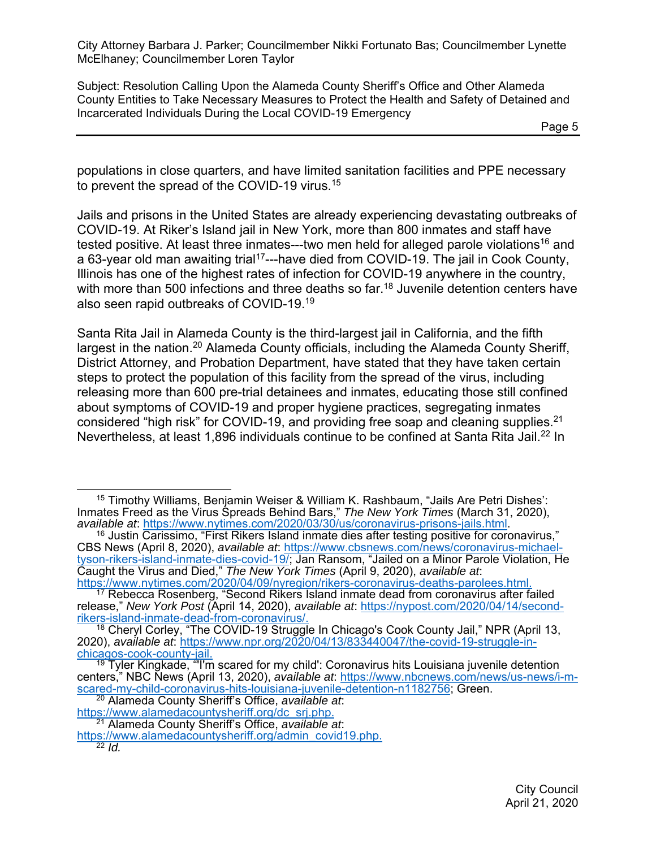Subject: Resolution Calling Upon the Alameda County Sheriff's Office and Other Alameda County Entities to Take Necessary Measures to Protect the Health and Safety of Detained and Incarcerated Individuals During the Local COVID-19 Emergency

Page 5

populations in close quarters, and have limited sanitation facilities and PPE necessary to prevent the spread of the COVID-19 virus.<sup>15</sup>

Jails and prisons in the United States are already experiencing devastating outbreaks of COVID-19. At Riker's Island jail in New York, more than 800 inmates and staff have tested positive. At least three inmates---two men held for alleged parole violations<sup>16</sup> and a 63-year old man awaiting trial17---have died from COVID-19. The jail in Cook County, Illinois has one of the highest rates of infection for COVID-19 anywhere in the country, with more than 500 infections and three deaths so far.<sup>18</sup> Juvenile detention centers have also seen rapid outbreaks of COVID-19.19

Santa Rita Jail in Alameda County is the third-largest jail in California, and the fifth largest in the nation.<sup>20</sup> Alameda County officials, including the Alameda County Sheriff, District Attorney, and Probation Department, have stated that they have taken certain steps to protect the population of this facility from the spread of the virus, including releasing more than 600 pre-trial detainees and inmates, educating those still confined about symptoms of COVID-19 and proper hygiene practices, segregating inmates considered "high risk" for COVID-19, and providing free soap and cleaning supplies. $2^1$ Nevertheless, at least 1,896 individuals continue to be confined at Santa Rita Jail.<sup>22</sup> In

 <sup>15</sup> Timothy Williams, Benjamin Weiser & William K. Rashbaum, "Jails Are Petri Dishes': Inmates Freed as the Virus Spreads Behind Bars," *The New York Times* (March 31, 2020),

*available at*: https://www.nytimes.com/2020/03/30/us/coronavirus-prisons-jails.html. 16 Justin Carissimo, "First Rikers Island inmate dies after testing positive for coronavirus," CBS News (April 8, 2020), *available at*: https://www.cbsnews.com/news/coronavirus-michaeltyson-rikers-island-inmate-dies-covid-19/; Jan Ransom, "Jailed on a Minor Parole Violation, He Caught the Virus and Died," *The New York Times* (April 9, 2020), *available at*: https://www.nytimes.com/2020/04/09/nyregion/rikers-coronavirus-deaths-parolees.html.

<sup>&</sup>lt;sup>17</sup> Rebecca Rosenberg, "Second Rikers Island inmate dead from coronavirus after failed release," *New York Post* (April 14, 2020), *available at*: https://nypost.com/2020/04/14/secondrikers-island-inmate-dead-from-coronavirus/.

<sup>&</sup>lt;sup>18</sup> Cheryl Corley, "The COVID-19 Struggle In Chicago's Cook County Jail," NPR (April 13, 2020), *available at*: https://www.npr.org/2020/04/13/833440047/the-covid-19-struggle-inchicagos-cook-county-jail.

 $19$  Tyler Kingkade, "I'm scared for my child': Coronavirus hits Louisiana iuvenile detention centers," NBC News (April 13, 2020), *available at*: https://www.nbcnews.com/news/us-news/i-mscared-my-child-coronavirus-hits-louisiana-juvenile-detention-n1182756; Green.

<sup>20</sup> Alameda County Sheriff's Office, *available at*:

https://www.alamedacountysheriff.org/dc\_srj.php. 21 Alameda County Sheriff's Office, *available at*:

https://www.alamedacountysheriff.org/admin\_covid19.php.

<sup>22</sup> *Id.*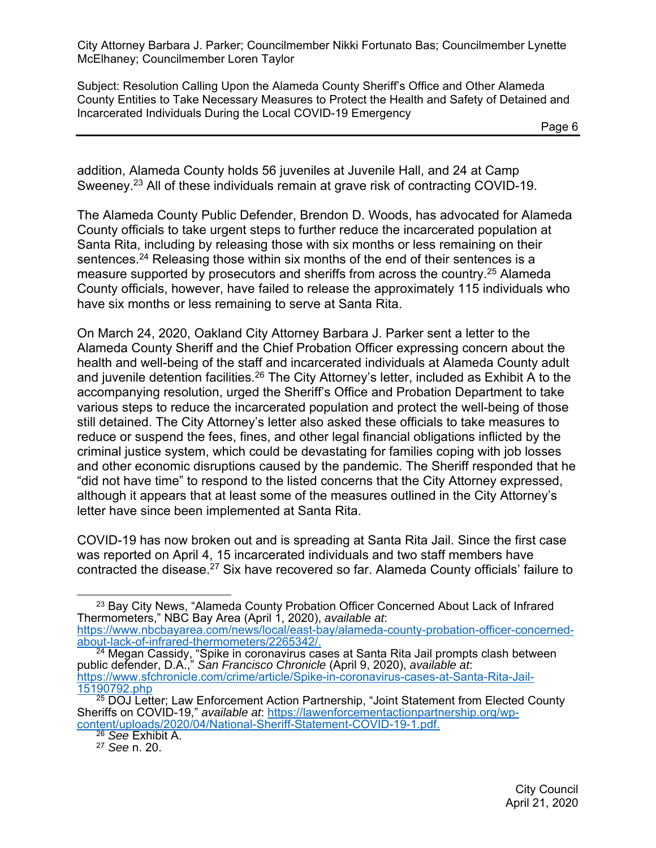Subject: Resolution Calling Upon the Alameda County Sheriff's Office and Other Alameda County Entities to Take Necessary Measures to Protect the Health and Safety of Detained and Incarcerated Individuals During the Local COVID-19 Emergency

addition, Alameda County holds 56 juveniles at Juvenile Hall, and 24 at Camp Sweeney.<sup>23</sup> All of these individuals remain at grave risk of contracting COVID-19.

The Alameda County Public Defender, Brendon D. Woods, has advocated for Alameda County officials to take urgent steps to further reduce the incarcerated population at Santa Rita, including by releasing those with six months or less remaining on their sentences.<sup>24</sup> Releasing those within six months of the end of their sentences is a measure supported by prosecutors and sheriffs from across the country.<sup>25</sup> Alameda County officials, however, have failed to release the approximately 115 individuals who have six months or less remaining to serve at Santa Rita.

On March 24, 2020, Oakland City Attorney Barbara J. Parker sent a letter to the Alameda County Sheriff and the Chief Probation Officer expressing concern about the health and well-being of the staff and incarcerated individuals at Alameda County adult and juvenile detention facilities.<sup>26</sup> The City Attorney's letter, included as Exhibit A to the accompanying resolution, urged the Sheriff's Office and Probation Department to take various steps to reduce the incarcerated population and protect the well-being of those still detained. The City Attorney's letter also asked these officials to take measures to reduce or suspend the fees, fines, and other legal financial obligations inflicted by the criminal justice system, which could be devastating for families coping with job losses and other economic disruptions caused by the pandemic. The Sheriff responded that he "did not have time" to respond to the listed concerns that the City Attorney expressed, although it appears that at least some of the measures outlined in the City Attorney's letter have since been implemented at Santa Rita.

COVID-19 has now broken out and is spreading at Santa Rita Jail. Since the first case was reported on April 4, 15 incarcerated individuals and two staff members have contracted the disease.<sup>27</sup> Six have recovered so far. Alameda County officials' failure to

<sup>&</sup>lt;sup>23</sup> Bay City News, "Alameda County Probation Officer Concerned About Lack of Infrared Thermometers," NBC Bay Area (April 1, 2020), *available at*: https://www.nbcbayarea.com/news/local/east-bay/alameda-county-probation-officer-concernedabout-lack-of-infrared-thermometers/2265342/.

 $24$  Megan Cassidy, "Spike in coronavirus cases at Santa Rita Jail prompts clash between public defender, D.A.," *San Francisco Chronicle* (April 9, 2020), *available at*: https://www.sfchronicle.com/crime/article/Spike-in-coronavirus-cases-at-Santa-Rita-Jail-15190792.php

<sup>&</sup>lt;sup>25</sup> DOJ Letter; Law Enforcement Action Partnership, "Joint Statement from Elected County Sheriffs on COVID-19," *available at*: https://lawenforcementactionpartnership.org/wpcontent/uploads/2020/04/National-Sheriff-Statement-COVID-19-1.pdf.

<sup>26</sup> *See* Exhibit A.

<sup>27</sup> *See* n. 20.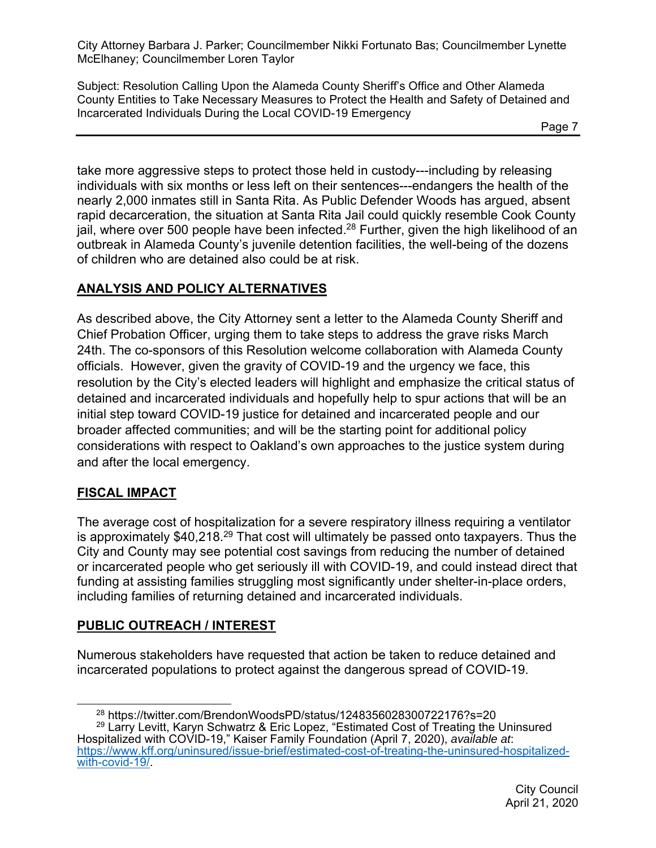Subject: Resolution Calling Upon the Alameda County Sheriff's Office and Other Alameda County Entities to Take Necessary Measures to Protect the Health and Safety of Detained and Incarcerated Individuals During the Local COVID-19 Emergency

take more aggressive steps to protect those held in custody---including by releasing individuals with six months or less left on their sentences---endangers the health of the nearly 2,000 inmates still in Santa Rita. As Public Defender Woods has argued, absent rapid decarceration, the situation at Santa Rita Jail could quickly resemble Cook County jail, where over 500 people have been infected.<sup>28</sup> Further, given the high likelihood of an outbreak in Alameda County's juvenile detention facilities, the well-being of the dozens of children who are detained also could be at risk.

# **ANALYSIS AND POLICY ALTERNATIVES**

As described above, the City Attorney sent a letter to the Alameda County Sheriff and Chief Probation Officer, urging them to take steps to address the grave risks March 24th. The co-sponsors of this Resolution welcome collaboration with Alameda County officials. However, given the gravity of COVID-19 and the urgency we face, this resolution by the City's elected leaders will highlight and emphasize the critical status of detained and incarcerated individuals and hopefully help to spur actions that will be an initial step toward COVID-19 justice for detained and incarcerated people and our broader affected communities; and will be the starting point for additional policy considerations with respect to Oakland's own approaches to the justice system during and after the local emergency.

# **FISCAL IMPACT**

The average cost of hospitalization for a severe respiratory illness requiring a ventilator is approximately \$40,218.29 That cost will ultimately be passed onto taxpayers. Thus the City and County may see potential cost savings from reducing the number of detained or incarcerated people who get seriously ill with COVID-19, and could instead direct that funding at assisting families struggling most significantly under shelter-in-place orders, including families of returning detained and incarcerated individuals.

# **PUBLIC OUTREACH / INTEREST**

Numerous stakeholders have requested that action be taken to reduce detained and incarcerated populations to protect against the dangerous spread of COVID-19.

<sup>29</sup> Larry Levitt, Karyn Schwatrz & Eric Lopez, "Estimated Cost of Treating the Uninsured Hospitalized with COVID-19," Kaiser Family Foundation (April 7, 2020), *available at*: https://www.kff.org/uninsured/issue-brief/estimated-cost-of-treating-the-uninsured-hospitalizedwith-covid-19/.

 <sup>28</sup> https://twitter.com/BrendonWoodsPD/status/1248356028300722176?s=20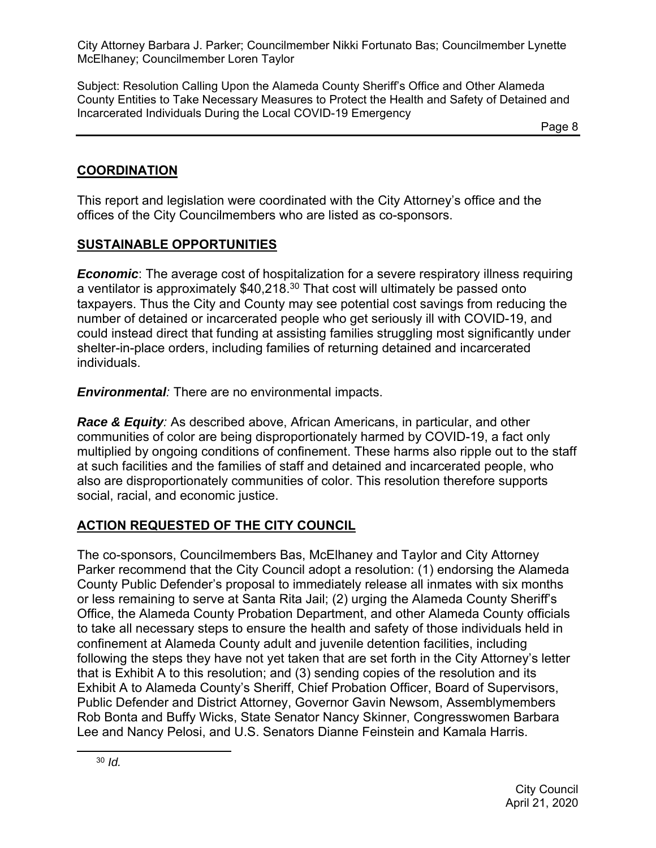Subject: Resolution Calling Upon the Alameda County Sheriff's Office and Other Alameda County Entities to Take Necessary Measures to Protect the Health and Safety of Detained and Incarcerated Individuals During the Local COVID-19 Emergency

Page 8 and the state of the state of the state  $\log 8$ 

#### **COORDINATION**

This report and legislation were coordinated with the City Attorney's office and the offices of the City Councilmembers who are listed as co-sponsors.

# **SUSTAINABLE OPPORTUNITIES**

*Economic*: The average cost of hospitalization for a severe respiratory illness requiring a ventilator is approximately \$40,218.30 That cost will ultimately be passed onto taxpayers. Thus the City and County may see potential cost savings from reducing the number of detained or incarcerated people who get seriously ill with COVID-19, and could instead direct that funding at assisting families struggling most significantly under shelter-in-place orders, including families of returning detained and incarcerated individuals.

*Environmental:* There are no environmental impacts.

*Race & Equity:* As described above, African Americans, in particular, and other communities of color are being disproportionately harmed by COVID-19, a fact only multiplied by ongoing conditions of confinement. These harms also ripple out to the staff at such facilities and the families of staff and detained and incarcerated people, who also are disproportionately communities of color. This resolution therefore supports social, racial, and economic justice.

# **ACTION REQUESTED OF THE CITY COUNCIL**

The co-sponsors, Councilmembers Bas, McElhaney and Taylor and City Attorney Parker recommend that the City Council adopt a resolution: (1) endorsing the Alameda County Public Defender's proposal to immediately release all inmates with six months or less remaining to serve at Santa Rita Jail; (2) urging the Alameda County Sheriff's Office, the Alameda County Probation Department, and other Alameda County officials to take all necessary steps to ensure the health and safety of those individuals held in confinement at Alameda County adult and juvenile detention facilities, including following the steps they have not yet taken that are set forth in the City Attorney's letter that is Exhibit A to this resolution; and (3) sending copies of the resolution and its Exhibit A to Alameda County's Sheriff, Chief Probation Officer, Board of Supervisors, Public Defender and District Attorney, Governor Gavin Newsom, Assemblymembers Rob Bonta and Buffy Wicks, State Senator Nancy Skinner, Congresswomen Barbara Lee and Nancy Pelosi, and U.S. Senators Dianne Feinstein and Kamala Harris.